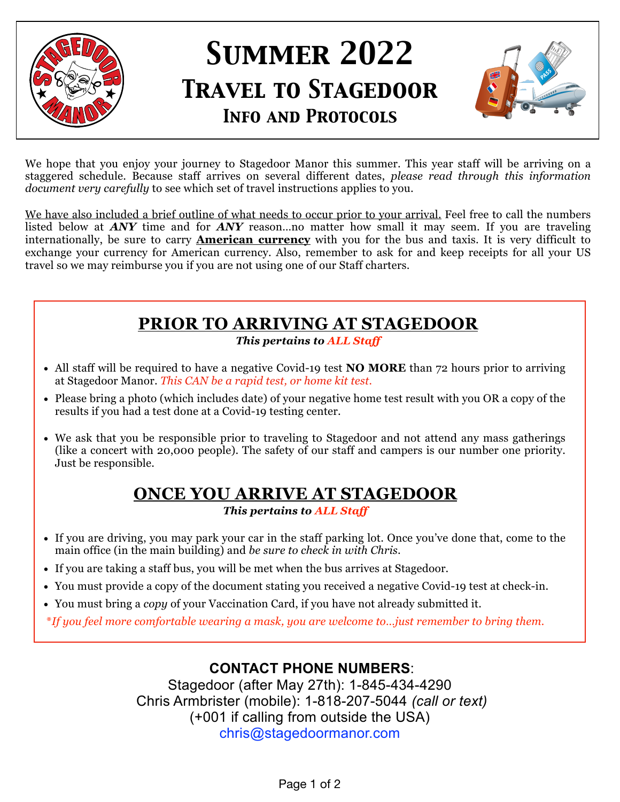

# *Summer 2022 Travel to Stagedoor Info and Protocols*



We hope that you enjoy your journey to Stagedoor Manor this summer. This year staff will be arriving on a staggered schedule. Because staff arrives on several different dates, *please read through this information document very carefully* to see which set of travel instructions applies to you.

We have also included a brief outline of what needs to occur prior to your arrival. Feel free to call the numbers listed below at *ANY* time and for *ANY* reason…no matter how small it may seem. If you are traveling internationally, be sure to carry **American currency** with you for the bus and taxis. It is very difficult to exchange your currency for American currency. Also, remember to ask for and keep receipts for all your US travel so we may reimburse you if you are not using one of our Staff charters.

# **PRIOR TO ARRIVING AT STAGEDOOR**

*This pertains to ALL Staff*

- All staff will be required to have a negative Covid-19 test **NO MORE** than 72 hours prior to arriving at Stagedoor Manor. *This CAN be a rapid test, or home kit test.*
- Please bring a photo (which includes date) of your negative home test result with you OR a copy of the results if you had a test done at a Covid-19 testing center.
- We ask that you be responsible prior to traveling to Stagedoor and not attend any mass gatherings (like a concert with 20,000 people). The safety of our staff and campers is our number one priority. Just be responsible.

# **ONCE YOU ARRIVE AT STAGEDOOR**

*This pertains to ALL Staff*

- If you are driving, you may park your car in the staff parking lot. Once you've done that, come to the main office (in the main building) and *be sure to check in with Chris*.
- If you are taking a staff bus, you will be met when the bus arrives at Stagedoor.
- You must provide a copy of the document stating you received a negative Covid-19 test at check-in.
- You must bring a *copy* of your Vaccination Card, if you have not already submitted it.

\**If you feel more comfortable wearing a mask, you are welcome to…just remember to bring them.*

#### **CONTACT PHONE NUMBERS**:

Stagedoor (after May 27th): 1-845-434-4290 Chris Armbrister (mobile): 1-818-207-5044 *(call or text)*  (+001 if calling from outside the USA) chris@stagedoormanor.com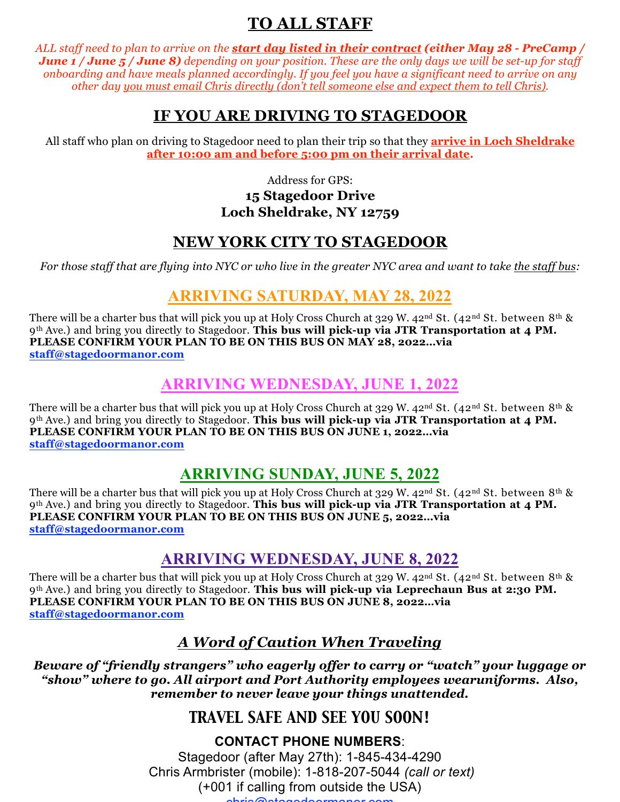## **TO ALL STAFF**

*ALL staff need to plan to arrive on the start day listed in their contract (either May 28 - PreCamp / June 1 / June 5 / June 8) depending on your position. These are the only days we will be set-up for staff onboarding and have meals planned accordingly. If you feel you have a significant need to arrive on any other day you must email Chris directly (don't tell someone else and expect them to tell Chris).*

#### **IF YOU ARE DRIVING TO STAGEDOOR**

All staff who plan on driving to Stagedoor need to plan their trip so that they **arrive in Loch Sheldrake after 10:00 am and before 5:00 pm on their arrival date.**

> Address for GPS: **15 Stagedoor Drive Loch Sheldrake, NY 12759**

#### **NEW YORK CITY TO STAGEDOOR**

For those staff that are flying into NYC or who live in the greater NYC area and want to take the staff bus:

## **ARRIVING SATURDAY, MAY 28, 2022**

There will be a charter bus that will pick you up at Holy Cross Church at 329 W. 42<sup>nd</sup> St. (42<sup>nd</sup> St. between 8<sup>th</sup> & 9th Ave.) and bring you directly to Stagedoor. This bus will pick-up via JTR Transportation at 4 PM. PLEASE CONFIRM YOUR PLAN TO BE ON THIS BUS ON MAY 28, 2022...via staff@stagedoormanor.com

#### **ARRIVING WEDNESDAY, JUNE 1, 2022**

There will be a charter bus that will pick you up at Holy Cross Church at 329 W. 42nd St. (42nd St. between 8th &  $9<sup>th</sup>$  Ave.) and bring you directly to Stagedoor. This bus will pick-up via JTR Transportation at 4 PM. PLEASE CONFIRM YOUR PLAN TO BE ON THIS BUS ON JUNE 1, 2022...via staff@stagedoormanor.com

## **ARRIVING SUNDAY, JUNE 5, 2022**

There will be a charter bus that will pick you up at Holy Cross Church at 329 W. 42<sup>nd</sup> St. (42<sup>nd</sup> St. between 8<sup>th</sup> & 9th Ave.) and bring you directly to Stagedoor. This bus will pick-up via JTR Transportation at 4 PM. PLEASE CONFIRM YOUR PLAN TO BE ON THIS BUS ON JUNE 5, 2022...via staff@stagedoormanor.com

#### **ARRIVING WEDNESDAY, JUNE 8, 2022**

There will be a charter bus that will pick you up at Holy Cross Church at 329 W. 42<sup>nd</sup> St. (42<sup>nd</sup> St. between 8<sup>th</sup> & 9th Ave.) and bring you directly to Stagedoor. This bus will pick-up via Leprechaun Bus at 2:30 PM. PLEASE CONFIRM YOUR PLAN TO BE ON THIS BUS ON JUNE 8, 2022...via staff@stagedoormanor.com

#### A Word of Caution When Traveling

Beware of "friendly strangers" who eagerly offer to carry or "watch" your luggage or "show" where to go. All airport and Port Authority employees wearuniforms. Also, remember to never leave your things unattended.

#### **TRAVEL SAFE AND SEE YOU SOON!**

#### **CONTACT PHONE NUMBERS:**

Stagedoor (after May 27th): 1-845-434-4290 Chris Armbrister (mobile): 1-818-207-5044 (call or text) (+001 if calling from outside the USA)